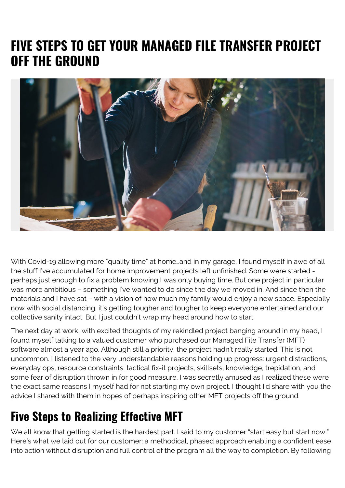## **FIVE STEPS TO GET YOUR MANAGED FILE TRANSFER PROJECT OFF THE GROUND**



With Covid-19 allowing more "quality time" at home…and in my garage, I found myself in awe of all the stuff I've accumulated for home improvement projects left unfinished. Some were started perhaps just enough to fix a problem knowing I was only buying time. But one project in particular was more ambitious – something I've wanted to do since the day we moved in. And since then the materials and I have sat – with a vision of how much my family would enjoy a new space. Especially now with social distancing, it's getting tougher and tougher to keep everyone entertained and our collective sanity intact. But I just couldn't wrap my head around how to start.

The next day at work, with excited thoughts of my rekindled project banging around in my head, I found myself talking to a valued customer who purchased our Managed File Transfer (MFT) software almost a year ago. Although still a priority, the project hadn't really started. This is not uncommon. I listened to the very understandable reasons holding up progress: urgent distractions, everyday ops, resource constraints, tactical fix-it projects, skillsets, knowledge, trepidation, and some fear of disruption thrown in for good measure. I was secretly amused as I realized these were the exact same reasons I myself had for not starting my own project. I thought I'd share with you the advice I shared with them in hopes of perhaps inspiring other MFT projects off the ground.

## **Five Steps to Realizing Effective MFT**

We all know that getting started is the hardest part. I said to my customer "start easy but start now." Here's what we laid out for our customer: a methodical, phased approach enabling a confident ease into action without disruption and full control of the program all the way to completion. By following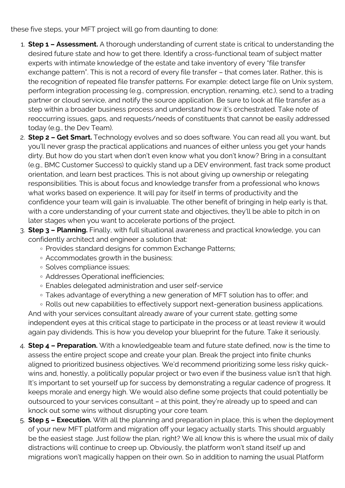these five steps, your MFT project will go from daunting to done:

- 1. **Step 1 Assessment.** A thorough understanding of current state is critical to understanding the desired future state and how to get there. Identify a cross-functional team of subject matter experts with intimate knowledge of the estate and take inventory of every "file transfer exchange pattern". This is not a record of every file transfer – that comes later. Rather, this is the recognition of repeated file transfer patterns. For example: detect large file on Unix system, perform integration processing (e.g., compression, encryption, renaming, etc.), send to a trading partner or cloud service, and notify the source application. Be sure to look at file transfer as a step within a broader business process and understand how it's orchestrated. Take note of reoccurring issues, gaps, and requests/needs of constituents that cannot be easily addressed today (e.g., the Dev Team).
- 2. **Step 2 Get Smart.** Technology evolves and so does software. You can read all you want, but you'll never grasp the practical applications and nuances of either unless you get your hands dirty. But how do you start when don't even know what you don't know? Bring in a consultant (e.g., BMC Customer Success) to quickly stand up a DEV environment, fast track some product orientation, and learn best practices. This is not about giving up ownership or relegating responsibilities. This is about focus and knowledge transfer from a professional who knows what works based on experience. It will pay for itself in terms of productivity and the confidence your team will gain is invaluable. The other benefit of bringing in help early is that, with a core understanding of your current state and objectives, they'll be able to pitch in on later stages when you want to accelerate portions of the project.
- 3. **Step 3 Planning.** Finally, with full situational awareness and practical knowledge, you can confidently architect and engineer a solution that:
	- Provides standard designs for common Exchange Patterns;
	- Accommodates growth in the business;
	- o Solves compliance issues;
	- Addresses Operational inefficiencies;
	- Enables delegated administration and user self-service
	- Takes advantage of everything a new generation of MFT solution has to offer; and

◦ Rolls out new capabilities to effectively support next-generation business applications. And with your services consultant already aware of your current state, getting some independent eyes at this critical stage to participate in the process or at least review it would again pay dividends. This is how you develop your blueprint for the future. Take it seriously.

- 4. **Step 4 Preparation.** With a knowledgeable team and future state defined, now is the time to assess the entire project scope and create your plan. Break the project into finite chunks aligned to prioritized business objectives. We'd recommend prioritizing some less risky quickwins and, honestly, a politically popular project or two even if the business value isn't that high. It's important to set yourself up for success by demonstrating a regular cadence of progress. It keeps morale and energy high. We would also define some projects that could potentially be outsourced to your services consultant – at this point, they're already up to speed and can knock out some wins without disrupting your core team.
- 5. **Step 5 Execution.** With all the planning and preparation in place, this is when the deployment of your new MFT platform and migration off your legacy actually starts. This should arguably be the easiest stage. Just follow the plan, right? We all know this is where the usual mix of daily distractions will continue to creep up. Obviously, the platform won't stand itself up and migrations won't magically happen on their own. So in addition to naming the usual Platform